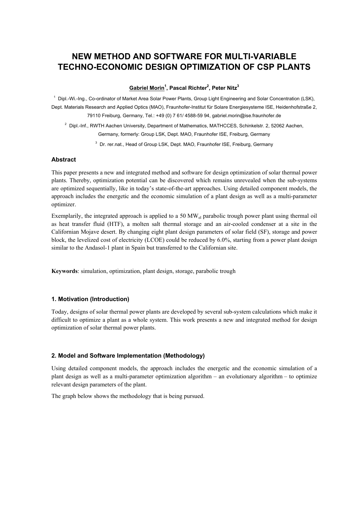# **NEW METHOD AND SOFTWARE FOR MULTI-VARIABLE TECHNO-ECONOMIC DESIGN OPTIMIZATION OF CSP PLANTS**

**Gabriel Morin1 , Pascal Richter2 , Peter Nitz<sup>3</sup>**

<sup>1</sup> Dipl.-Wi.-Ing., Co-ordinator of Market Area Solar Power Plants, Group Light Engineering and Solar Concentration (LSK), Dept. Materials Research and Applied Optics (MAO), Fraunhofer-Institut für Solare Energiesysteme ISE, Heidenhofstraße 2, 79110 Freiburg, Germany, Tel.: +49 (0) 7 61/ 4588-59 94, gabriel.morin@ise.fraunhofer.de

<sup>2</sup> Dipl.-Inf., RWTH Aachen University, Department of Mathematics, MATHCCES, Schinkelstr. 2, 52062 Aachen, Germany, formerly: Group LSK, Dept. MAO, Fraunhofer ISE, Freiburg, Germany

<sup>3</sup> Dr. rer.nat., Head of Group LSK, Dept. MAO, Fraunhofer ISE, Freiburg, Germany

#### **Abstract**

This paper presents a new and integrated method and software for design optimization of solar thermal power plants. Thereby, optimization potential can be discovered which remains unrevealed when the sub-systems are optimized sequentially, like in today's state-of-the-art approaches. Using detailed component models, the approach includes the energetic and the economic simulation of a plant design as well as a multi-parameter optimizer.

Exemplarily, the integrated approach is applied to a 50  $MW_{el}$  parabolic trough power plant using thermal oil as heat transfer fluid (HTF), a molten salt thermal storage and an air-cooled condenser at a site in the Californian Mojave desert. By changing eight plant design parameters of solar field (SF), storage and power block, the levelized cost of electricity (LCOE) could be reduced by 6.0%, starting from a power plant design similar to the Andasol-1 plant in Spain but transferred to the Californian site.

**Keywords**: simulation, optimization, plant design, storage, parabolic trough

#### **1. Motivation (Introduction)**

Today, designs of solar thermal power plants are developed by several sub-system calculations which make it difficult to optimize a plant as a whole system. This work presents a new and integrated method for design optimization of solar thermal power plants.

#### **2. Model and Software Implementation (Methodology)**

Using detailed component models, the approach includes the energetic and the economic simulation of a plant design as well as a multi-parameter optimization algorithm – an evolutionary algorithm – to optimize relevant design parameters of the plant.

The graph below shows the methodology that is being pursued.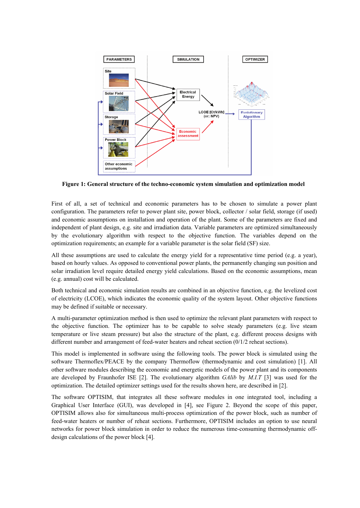

**Figure 1: General structure of the techno-economic system simulation and optimization model** 

First of all, a set of technical and economic parameters has to be chosen to simulate a power plant configuration. The parameters refer to power plant site, power block, collector / solar field, storage (if used) and economic assumptions on installation and operation of the plant. Some of the parameters are fixed and independent of plant design, e.g. site and irradiation data. Variable parameters are optimized simultaneously by the evolutionary algorithm with respect to the objective function. The variables depend on the optimization requirements; an example for a variable parameter is the solar field (SF) size.

All these assumptions are used to calculate the energy yield for a representative time period (e.g. a year), based on hourly values. As opposed to conventional power plants, the permanently changing sun position and solar irradiation level require detailed energy yield calculations. Based on the economic assumptions, mean (e.g. annual) cost will be calculated.

Both technical and economic simulation results are combined in an objective function, e.g. the levelized cost of electricity (LCOE), which indicates the economic quality of the system layout. Other objective functions may be defined if suitable or necessary.

A multi-parameter optimization method is then used to optimize the relevant plant parameters with respect to the objective function. The optimizer has to be capable to solve steady parameters (e.g. live steam temperature or live steam pressure) but also the structure of the plant, e.g. different process designs with different number and arrangement of feed-water heaters and reheat section (0/1/2 reheat sections).

This model is implemented in software using the following tools. The power block is simulated using the software Thermoflex/PEACE by the company Thermoflow (thermodynamic and cost simulation) [1]. All other software modules describing the economic and energetic models of the power plant and its components are developed by Fraunhofer ISE [2]. The evolutionary algorithm *GAlib* by *M.I.T* [3] was used for the optimization. The detailed optimizer settings used for the results shown here, are described in [2].

The software OPTISIM, that integrates all these software modules in one integrated tool, including a Graphical User Interface (GUI), was developed in [4], see Figure 2. Beyond the scope of this paper, OPTISIM allows also for simultaneous multi-process optimization of the power block, such as number of feed-water heaters or number of reheat sections. Furthermore, OPTISIM includes an option to use neural networks for power block simulation in order to reduce the numerous time-consuming thermodynamic offdesign calculations of the power block [4].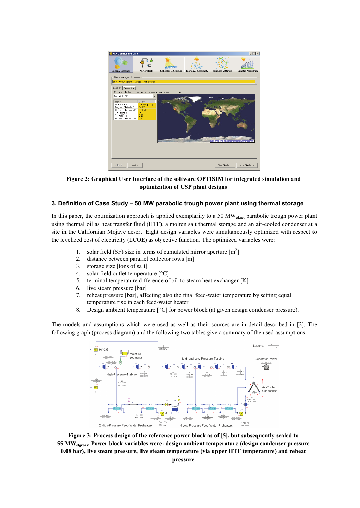

**Figure 2: Graphical User Interface of the software OPTISIM for integrated simulation and optimization of CSP plant designs** 

#### **3. Definition of Case Study – 50 MW parabolic trough power plant using thermal storage**

In this paper, the optimization approach is applied exemplarily to a 50  $MW_{\text{check}}$  parabolic trough power plant using thermal oil as heat transfer fluid (HTF), a molten salt thermal storage and an air-cooled condenser at a site in the Californian Mojave desert. Eight design variables were simultaneously optimized with respect to the levelized cost of electricity (LCOE) as objective function. The optimized variables were:

- 1. solar field (SF) size in terms of cumulated mirror aperture  $\lceil m^2 \rceil$
- 2. distance between parallel collector rows [m]
- 3. storage size [tons of salt]
- 4. solar field outlet temperature [°C]
- 5. terminal temperature difference of oil-to-steam heat exchanger [K]
- 6. live steam pressure [bar]
- 7. reheat pressure [bar], affecting also the final feed-water temperature by setting equal temperature rise in each feed-water heater
- 8. Design ambient temperature [°C] for power block (at given design condenser pressure).

The models and assumptions which were used as well as their sources are in detail described in [2]. The following graph (process diagram) and the following two tables give a summary of the used assumptions.



**Figure 3: Process design of the reference power block as of [5], but subsequently scaled to 55 MWelgross. Power block variables were: design ambient temperature (design condenser pressure 0.08 bar), live steam pressure, live steam temperature (via upper HTF temperature) and reheat**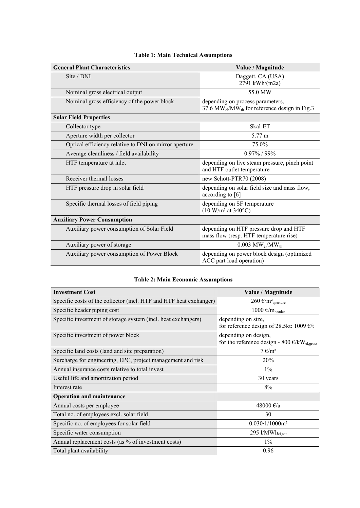| <b>General Plant Characteristics</b>                  | Value / Magnitude                                                                             |  |  |  |
|-------------------------------------------------------|-----------------------------------------------------------------------------------------------|--|--|--|
| Site / DNI                                            | Daggett, CA (USA)<br>2791 kWh/(m2a)                                                           |  |  |  |
| Nominal gross electrical output                       | 55.0 MW                                                                                       |  |  |  |
| Nominal gross efficiency of the power block           | depending on process parameters,<br>37.6 MW $_{el}$ /MW $_{th}$ for reference design in Fig.3 |  |  |  |
| <b>Solar Field Properties</b>                         |                                                                                               |  |  |  |
| Collector type                                        | Skal-ET                                                                                       |  |  |  |
| Aperture width per collector                          | 5.77 m                                                                                        |  |  |  |
| Optical efficiency relative to DNI on mirror aperture | 75.0%                                                                                         |  |  |  |
| Average cleanliness / field availability              | $0.97\%$ / 99%                                                                                |  |  |  |
| HTF temperature at inlet                              | depending on live steam pressure, pinch point<br>and HTF outlet temperature                   |  |  |  |
| Receiver thermal losses                               | new Schott-PTR70 (2008)                                                                       |  |  |  |
| HTF pressure drop in solar field                      | depending on solar field size and mass flow,<br>according to [6]                              |  |  |  |
| Specific thermal losses of field piping               | depending on SF temperature<br>$(10 W/m^2 at 340^{\circ}C)$                                   |  |  |  |
| <b>Auxiliary Power Consumption</b>                    |                                                                                               |  |  |  |
| Auxiliary power consumption of Solar Field            | depending on HTF pressure drop and HTF<br>mass flow (resp. HTF temperature rise)              |  |  |  |
| Auxiliary power of storage                            | $0.003 \text{ MW}_{el}/\text{MW}_{th}$                                                        |  |  |  |
| Auxiliary power consumption of Power Block            | depending on power block design (optimized<br>ACC part load operation)                        |  |  |  |

## **Table 1: Main Technical Assumptions**

### **Table 2: Main Economic Assumptions**

| <b>Investment Cost</b>                                             | Value / Magnitude                                                                    |
|--------------------------------------------------------------------|--------------------------------------------------------------------------------------|
| Specific costs of the collector (incl. HTF and HTF heat exchanger) | 260 $\epsilon/m^2$ <sub>aperture</sub>                                               |
| Specific header piping cost                                        | 1000 $\epsilon/m_{\text{header}}$                                                    |
| Specific investment of storage system (incl. heat exchangers)      | depending on size,<br>for reference design of 28.5kt: 1009 $\epsilon/t$              |
| Specific investment of power block                                 | depending on design,<br>for the reference design - 800 $\epsilon/kW_{\rm el, gross}$ |
| Specific land costs (land and site preparation)                    | $7 \text{ } \infty$ /m <sup>2</sup>                                                  |
| Surcharge for engineering, EPC, project management and risk        | 20%                                                                                  |
| Annual insurance costs relative to total invest                    | $1\%$                                                                                |
| Useful life and amortization period                                | 30 years                                                                             |
| Interest rate                                                      | 8%                                                                                   |
| <b>Operation and maintenance</b>                                   |                                                                                      |
| Annual costs per employee                                          | 48000 €/a                                                                            |
| Total no. of employees excl. solar field                           | 30                                                                                   |
| Specific no. of employees for solar field                          | $0.030 \cdot 1/1000$ m <sup>2</sup>                                                  |
| Specific water consumption                                         | 295 l/MWh <sub>el,net</sub>                                                          |
| Annual replacement costs (as % of investment costs)                | $1\%$                                                                                |
| Total plant availability                                           | 0.96                                                                                 |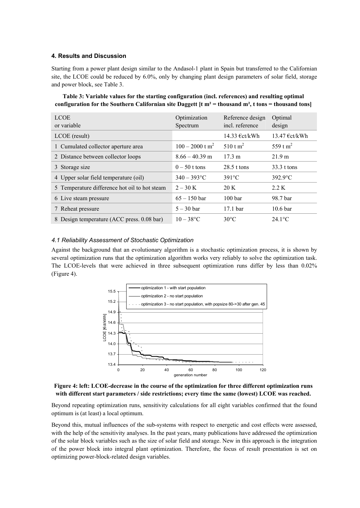#### **4. Results and Discussion**

Starting from a power plant design similar to the Andasol-1 plant in Spain but transferred to the Californian site, the LCOE could be reduced by 6.0%, only by changing plant design parameters of solar field, storage and power block, see Table 3.

**Table 3: Variable values for the starting configuration (incl. references) and resulting optimal configuration for the Southern Californian site Daggett [t m² = thousand m², t tons = thousand tons]** 

| <b>LCOE</b>                                   | Optimization                  | Reference design    | Optimal                 |
|-----------------------------------------------|-------------------------------|---------------------|-------------------------|
| or variable                                   | Spectrum                      | incl. reference     | design                  |
| LCOE (result)                                 |                               | 14.33 €ct/kWh       | 13.47 $\epsilon$ ct/kWh |
| 1 Cumulated collector aperture area           | $100 - 2000$ t m <sup>2</sup> | 510 t $m^2$         | 559 t m <sup>2</sup>    |
| 2 Distance between collector loops            | $8.66 - 40.39$ m              | $17.3 \text{ m}$    | 21.9 m                  |
| 3 Storage size                                | $0-50$ t tons                 | $28.5$ t tons       | 33.3 t tons             |
| 4 Upper solar field temperature (oil)         | $340 - 393$ °C                | $391^{\circ}$ C     | $392.9$ °C              |
| 5 Temperature difference hot oil to hot steam | $2 - 30 K$                    | 20 K                | 2.2 K                   |
| 6 Live steam pressure                         | $65 - 150$ bar                | 100 <sub>bar</sub>  | 98.7 bar                |
| 7 Reheat pressure                             | $5 - 30$ bar                  | 17.1 <sub>bar</sub> | 10.6 <sub>bar</sub>     |
| 8 Design temperature (ACC press. 0.08 bar)    | $10 - 38$ °C                  | $30^{\circ}$ C      | $24.1^{\circ}$ C        |

#### *4.1 Reliability Assessment of Stochastic Optimization*

Against the background that an evolutionary algorithm is a stochastic optimization process, it is shown by several optimization runs that the optimization algorithm works very reliably to solve the optimization task. The LCOE-levels that were achieved in three subsequent optimization runs differ by less than 0.02% (Figure 4).



**Figure 4: left: LCOE-decrease in the course of the optimization for three different optimization runs with different start parameters / side restrictions; every time the same (lowest) LCOE was reached.** 

Beyond repeating optimization runs, sensitivity calculations for all eight variables confirmed that the found optimum is (at least) a local optimum.

Beyond this, mutual influences of the sub-systems with respect to energetic and cost effects were assessed, with the help of the sensitivity analyses. In the past years, many publications have addressed the optimization of the solar block variables such as the size of solar field and storage. New in this approach is the integration of the power block into integral plant optimization. Therefore, the focus of result presentation is set on optimizing power-block-related design variables.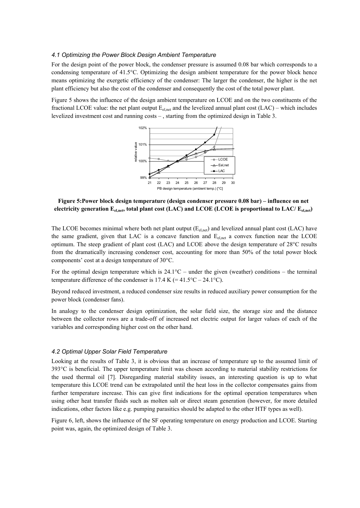#### *4.1 Optimizing the Power Block Design Ambient Temperature*

For the design point of the power block, the condenser pressure is assumed 0.08 bar which corresponds to a condensing temperature of 41.5°C. Optimizing the design ambient temperature for the power block hence means optimizing the exergetic efficiency of the condenser: The larger the condenser, the higher is the net plant efficiency but also the cost of the condenser and consequently the cost of the total power plant.

Figure 5 shows the influence of the design ambient temperature on LCOE and on the two constituents of the fractional LCOE value: the net plant output  $E_{\text{el.net}}$  and the levelized annual plant cost  $(LAC)$  – which includes levelized investment cost and running costs – , starting from the optimized design in Table 3.



**Figure 5:Power block design temperature (design condenser pressure 0.08 bar) – influence on net electricity generation Eel,net, total plant cost (LAC) and LCOE (LCOE is proportional to LAC/ Eel,net)** 

The LCOE becomes minimal where both net plant output  $(E_{\text{el net}})$  and levelized annual plant cost (LAC) have the same gradient, given that LAC is a concave function and  $E_{\text{el net}}$  a convex function near the LCOE optimum. The steep gradient of plant cost (LAC) and LCOE above the design temperature of 28°C results from the dramatically increasing condenser cost, accounting for more than 50% of the total power block components' cost at a design temperature of 30°C.

For the optimal design temperature which is  $24.1^{\circ}$ C – under the given (weather) conditions – the terminal temperature difference of the condenser is  $17.4 \text{ K} (=41.5\degree \text{C} - 24.1\degree \text{C})$ .

Beyond reduced investment, a reduced condenser size results in reduced auxiliary power consumption for the power block (condenser fans).

In analogy to the condenser design optimization, the solar field size, the storage size and the distance between the collector rows are a trade-off of increased net electric output for larger values of each of the variables and corresponding higher cost on the other hand.

#### *4.2 Optimal Upper Solar Field Temperature*

Looking at the results of Table 3, it is obvious that an increase of temperature up to the assumed limit of 393°C is beneficial. The upper temperature limit was chosen according to material stability restrictions for the used thermal oil [7]. Disregarding material stability issues, an interesting question is up to what temperature this LCOE trend can be extrapolated until the heat loss in the collector compensates gains from further temperature increase. This can give first indications for the optimal operation temperatures when using other heat transfer fluids such as molten salt or direct steam generation (however, for more detailed indications, other factors like e.g. pumping parasitics should be adapted to the other HTF types as well).

Figure 6, left, shows the influence of the SF operating temperature on energy production and LCOE. Starting point was, again, the optimized design of Table 3.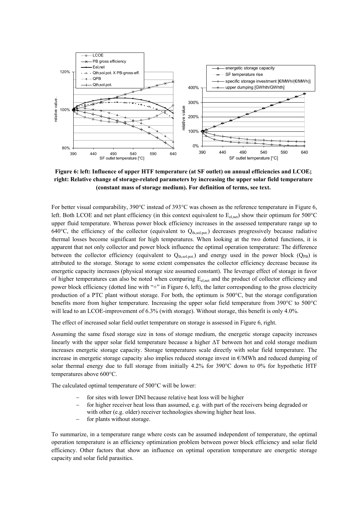

**Figure 6: left: Influence of upper HTF temperature (at SF outlet) on annual efficiencies and LCOE; right: Relative change of storage-related parameters by increasing the upper solar field temperature (constant mass of storage medium). For definition of terms, see text.** 

For better visual comparability, 390°C instead of 393°C was chosen as the reference temperature in Figure 6, left. Both LCOE and net plant efficiency (in this context equivalent to E<sub>el,net</sub>) show their optimum for 500°C upper fluid temperature. Whereas power block efficiency increases in the assessed temperature range up to 640°C, the efficiency of the collector (equivalent to  $Q<sub>th,sol,pot</sub>$ ) decreases progressively because radiative thermal losses become significant for high temperatures. When looking at the two dotted functions, it is apparent that not only collector and power block influence the optimal operation temperature: The difference between the collector efficiency (equivalent to  $Q<sub>th sol.</sub>$ ) and energy used in the power block ( $Q<sub>PB</sub>$ ) is attributed to the storage. Storage to some extent compensates the collector efficiency decrease because its energetic capacity increases (physical storage size assumed constant). The leverage effect of storage in favor of higher temperatures can also be noted when comparing E<sub>el,net</sub> and the product of collector efficiency and power block efficiency (dotted line with "+" in Figure 6, left), the latter corresponding to the gross electricity production of a PTC plant without storage. For both, the optimum is 500°C, but the storage configuration benefits more from higher temperature. Increasing the upper solar field temperature from 390°C to 500°C will lead to an LCOE-improvement of 6.3% (with storage). Without storage, this benefit is only 4.0%.

The effect of increased solar field outlet temperature on storage is assessed in Figure 6, right.

Assuming the same fixed storage size in tons of storage medium, the energetic storage capacity increases linearly with the upper solar field temperature because a higher ΔT between hot and cold storage medium increases energetic storage capacity. Storage temperatures scale directly with solar field temperature. The increase in energetic storage capacity also implies reduced storage invest in €/MWh and reduced dumping of solar thermal energy due to full storage from initially 4.2% for 390°C down to 0% for hypothetic HTF temperatures above 600°C.

The calculated optimal temperature of 500°C will be lower:

- for sites with lower DNI because relative heat loss will be higher
- for higher receiver heat loss than assumed, e.g. with part of the receivers being degraded or with other (e.g. older) receiver technologies showing higher heat loss.
- for plants without storage.

To summarize, in a temperature range where costs can be assumed independent of temperature, the optimal operation temperature is an efficiency optimization problem between power block efficiency and solar field efficiency. Other factors that show an influence on optimal operation temperature are energetic storage capacity and solar field parasitics.